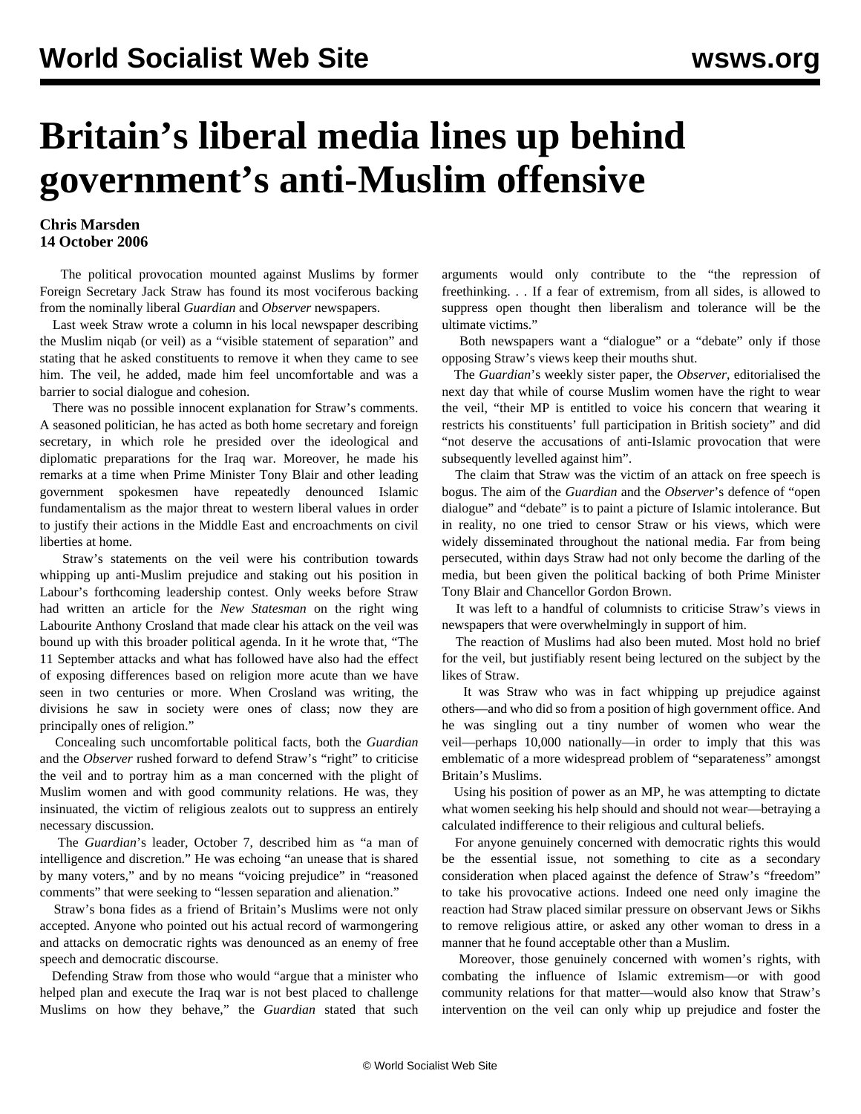## **Britain's liberal media lines up behind government's anti-Muslim offensive**

## **Chris Marsden 14 October 2006**

 The political provocation mounted against Muslims by former Foreign Secretary Jack Straw has found its most vociferous backing from the nominally liberal *Guardian* and *Observer* newspapers.

 Last week Straw wrote a column in his local newspaper describing the Muslim niqab (or veil) as a "visible statement of separation" and stating that he asked constituents to remove it when they came to see him. The veil, he added, made him feel uncomfortable and was a barrier to social dialogue and cohesion.

 There was no possible innocent explanation for Straw's comments. A seasoned politician, he has acted as both home secretary and foreign secretary, in which role he presided over the ideological and diplomatic preparations for the Iraq war. Moreover, he made his remarks at a time when Prime Minister Tony Blair and other leading government spokesmen have repeatedly denounced Islamic fundamentalism as the major threat to western liberal values in order to justify their actions in the Middle East and encroachments on civil liberties at home.

 Straw's statements on the veil were his contribution towards whipping up anti-Muslim prejudice and staking out his position in Labour's forthcoming leadership contest. Only weeks before Straw had written an article for the *New Statesman* on the right wing Labourite Anthony Crosland that made clear his attack on the veil was bound up with this broader political agenda. In it he wrote that, "The 11 September attacks and what has followed have also had the effect of exposing differences based on religion more acute than we have seen in two centuries or more. When Crosland was writing, the divisions he saw in society were ones of class; now they are principally ones of religion."

 Concealing such uncomfortable political facts, both the *Guardian* and the *Observer* rushed forward to defend Straw's "right" to criticise the veil and to portray him as a man concerned with the plight of Muslim women and with good community relations. He was, they insinuated, the victim of religious zealots out to suppress an entirely necessary discussion.

 The *Guardian*'s leader, October 7, described him as "a man of intelligence and discretion." He was echoing "an unease that is shared by many voters," and by no means "voicing prejudice" in "reasoned comments" that were seeking to "lessen separation and alienation."

 Straw's bona fides as a friend of Britain's Muslims were not only accepted. Anyone who pointed out his actual record of warmongering and attacks on democratic rights was denounced as an enemy of free speech and democratic discourse.

 Defending Straw from those who would "argue that a minister who helped plan and execute the Iraq war is not best placed to challenge Muslims on how they behave," the *Guardian* stated that such arguments would only contribute to the "the repression of freethinking. . . If a fear of extremism, from all sides, is allowed to suppress open thought then liberalism and tolerance will be the ultimate victims."

 Both newspapers want a "dialogue" or a "debate" only if those opposing Straw's views keep their mouths shut.

 The *Guardian*'s weekly sister paper, the *Observer*, editorialised the next day that while of course Muslim women have the right to wear the veil, "their MP is entitled to voice his concern that wearing it restricts his constituents' full participation in British society" and did "not deserve the accusations of anti-Islamic provocation that were subsequently levelled against him".

 The claim that Straw was the victim of an attack on free speech is bogus. The aim of the *Guardian* and the *Observer*'s defence of "open dialogue" and "debate" is to paint a picture of Islamic intolerance. But in reality, no one tried to censor Straw or his views, which were widely disseminated throughout the national media. Far from being persecuted, within days Straw had not only become the darling of the media, but been given the political backing of both Prime Minister Tony Blair and Chancellor Gordon Brown.

 It was left to a handful of columnists to criticise Straw's views in newspapers that were overwhelmingly in support of him.

 The reaction of Muslims had also been muted. Most hold no brief for the veil, but justifiably resent being lectured on the subject by the likes of Straw.

 It was Straw who was in fact whipping up prejudice against others—and who did so from a position of high government office. And he was singling out a tiny number of women who wear the veil—perhaps 10,000 nationally—in order to imply that this was emblematic of a more widespread problem of "separateness" amongst Britain's Muslims.

 Using his position of power as an MP, he was attempting to dictate what women seeking his help should and should not wear—betraying a calculated indifference to their religious and cultural beliefs.

 For anyone genuinely concerned with democratic rights this would be the essential issue, not something to cite as a secondary consideration when placed against the defence of Straw's "freedom" to take his provocative actions. Indeed one need only imagine the reaction had Straw placed similar pressure on observant Jews or Sikhs to remove religious attire, or asked any other woman to dress in a manner that he found acceptable other than a Muslim.

 Moreover, those genuinely concerned with women's rights, with combating the influence of Islamic extremism—or with good community relations for that matter—would also know that Straw's intervention on the veil can only whip up prejudice and foster the